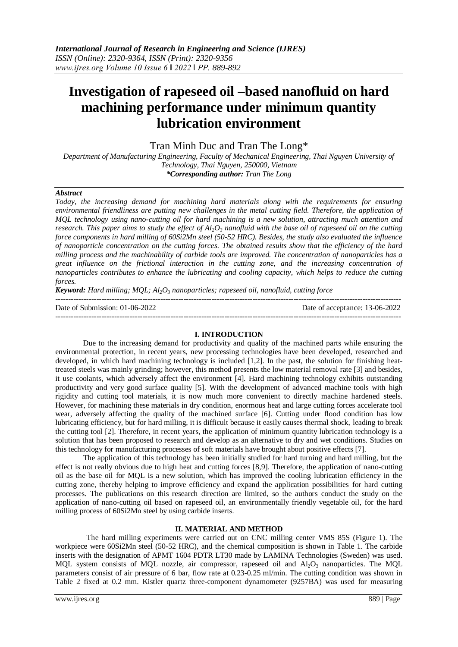# **Investigation of rapeseed oil –based nanofluid on hard machining performance under minimum quantity lubrication environment**

Tran Minh Duc and Tran The Long\*

*Department of Manufacturing Engineering, Faculty of Mechanical Engineering, Thai Nguyen University of Technology, Thai Nguyen, 250000, Vietnam \*Corresponding author: Tran The Long*

### *Abstract*

*Today, the increasing demand for machining hard materials along with the requirements for ensuring environmental friendliness are putting new challenges in the metal cutting field. Therefore, the application of MQL technology using nano-cutting oil for hard machining is a new solution, attracting much attention and research. This paper aims to study the effect of Al2O<sup>3</sup> nanofluid with the base oil of rapeseed oil on the cutting force components in hard milling of 60Si2Mn steel (50-52 HRC). Besides, the study also evaluated the influence of nanoparticle concentration on the cutting forces. The obtained results show that the efficiency of the hard milling process and the machinability of carbide tools are improved. The concentration of nanoparticles has a great influence on the frictional interaction in the cutting zone, and the increasing concentration of nanoparticles contributes to enhance the lubricating and cooling capacity, which helps to reduce the cutting forces.*

*Keyword: Hard milling; MQL; Al2O<sup>3</sup> nanoparticles; rapeseed oil, nanofluid, cutting force*

--------------------------------------------------------------------------------------------------------------------------------------- Date of Submission: 01-06-2022 Date of acceptance: 13-06-2022 ---------------------------------------------------------------------------------------------------------------------------------------

### **I. INTRODUCTION**

Due to the increasing demand for productivity and quality of the machined parts while ensuring the environmental protection, in recent years, new processing technologies have been developed, researched and developed, in which hard machining technology is included [1,2]. In the past, the solution for finishing heattreated steels was mainly grinding; however, this method presents the low material removal rate [3] and besides, it use coolants, which adversely affect the environment [4]. Hard machining technology exhibits outstanding productivity and very good surface quality [5]. With the development of advanced machine tools with high rigidity and cutting tool materials, it is now much more convenient to directly machine hardened steels. However, for machining these materials in dry condition, enormous heat and large cutting forces accelerate tool wear, adversely affecting the quality of the machined surface [6]. Cutting under flood condition has low lubricating efficiency, but for hard milling, it is difficult because it easily causes thermal shock, leading to break the cutting tool [2]. Therefore, in recent years, the application of minimum quantity lubrication technology is a solution that has been proposed to research and develop as an alternative to dry and wet conditions. Studies on this technology for manufacturing processes of soft materials have brought about positive effects [7].

The application of this technology has been initially studied for hard turning and hard milling, but the effect is not really obvious due to high heat and cutting forces [8,9]. Therefore, the application of nano-cutting oil as the base oil for MQL is a new solution, which has improved the cooling lubrication efficiency in the cutting zone, thereby helping to improve efficiency and expand the application possibilities for hard cutting processes. The publications on this research direction are limited, so the authors conduct the study on the application of nano-cutting oil based on rapeseed oil, an environmentally friendly vegetable oil, for the hard milling process of 60Si2Mn steel by using carbide inserts.

## **II. MATERIAL AND METHOD**

The hard milling experiments were carried out on CNC milling center VMS 85S (Figure 1). The workpiece were 60Si2Mn steel (50-52 HRC), and the chemical composition is shown in Table 1. The carbide inserts with the designation of APMT 1604 PDTR LT30 made by LAMINA Technologies (Sweden) was used. MQL system consists of MQL nozzle, air compressor, rapeseed oil and Al<sub>2</sub>O<sub>3</sub> nanoparticles. The MQL parameters consist of air pressure of 6 bar, flow rate at 0.23-0.25 ml/min. The cutting condition was shown in Table 2 fixed at 0.2 mm. Kistler quartz three-component dynamometer (9257BA) was used for measuring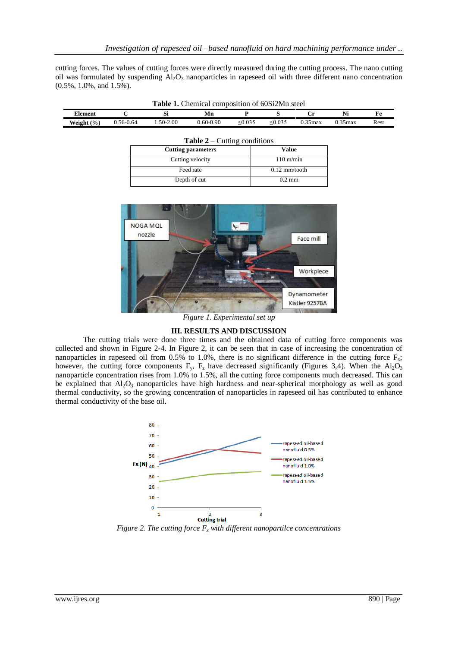cutting forces. The values of cutting forces were directly measured during the cutting process. The nano cutting oil was formulated by suspending  $A I_2 O_3$  nanoparticles in rapeseed oil with three different nano concentration (0.5%, 1.0%, and 1.5%).

| <b>Table 1.</b> Chemical composition of 60Si2Mn steel |               |           |           |              |              |            |            |      |
|-------------------------------------------------------|---------------|-----------|-----------|--------------|--------------|------------|------------|------|
| Element                                               |               |           | Mn        |              |              |            |            | Fe   |
| Weight $(\% )$                                        | $0.56 - 0.64$ | 1.50-2.00 | 0.60-0.90 | $\leq 0.035$ | $\leq 0.035$ | $0.35$ max | $0.35$ max | Rest |

| <b>Table 2</b> – Cutting conditions |                     |  |  |  |  |
|-------------------------------------|---------------------|--|--|--|--|
| <b>Cutting parameters</b>           | <b>Value</b>        |  |  |  |  |
| Cutting velocity                    | $110 \text{ m/min}$ |  |  |  |  |
| Feed rate                           | $0.12$ mm/tooth     |  |  |  |  |
| Depth of cut                        | $0.2 \text{ mm}$    |  |  |  |  |



*Figure 1. Experimental set up*

### **III. RESULTS AND DISCUSSION**

The cutting trials were done three times and the obtained data of cutting force components was collected and shown in Figure 2-4. In Figure 2, it can be seen that in case of increasing the concentration of nanoparticles in rapeseed oil from 0.5% to 1.0%, there is no significant difference in the cutting force  $F_x$ ; however, the cutting force components  $F_y$ ,  $F_z$  have decreased significantly (Figures 3,4). When the Al<sub>2</sub>O<sub>3</sub> nanoparticle concentration rises from 1.0% to 1.5%, all the cutting force components much decreased. This can be explained that  $Al_2O_3$  nanoparticles have high hardness and near-spherical morphology as well as good thermal conductivity, so the growing concentration of nanoparticles in rapeseed oil has contributed to enhance thermal conductivity of the base oil.



*Figure 2. The cutting force F<sup>x</sup> with different nanopartilce concentrations*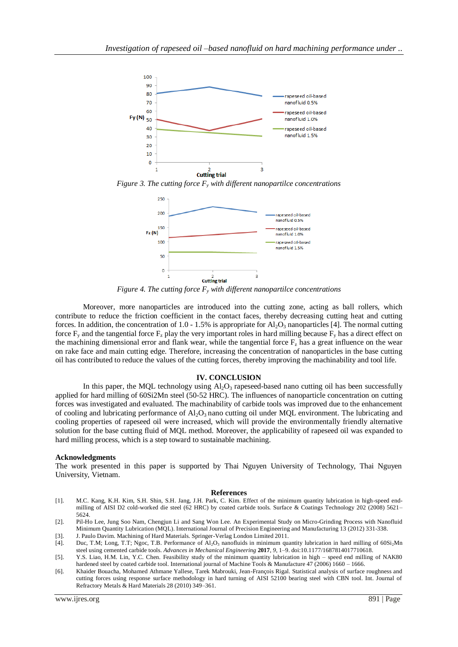

*Figure 3. The cutting force F<sup>y</sup> with different nanopartilce concentrations*



*Figure 4. The cutting force F<sup>y</sup> with different nanopartilce concentrations*

Moreover, more nanoparticles are introduced into the cutting zone, acting as ball rollers, which contribute to reduce the friction coefficient in the contact faces, thereby decreasing cutting heat and cutting forces. In addition, the concentration of 1.0 - 1.5% is appropriate for  $Al_2O_3$  nanoparticles [4]. The normal cutting force  $F_y$  and the tangential force  $F_z$  play the very important roles in hard milling because  $F_y$  has a direct effect on the machining dimensional error and flank wear, while the tangential force  $F<sub>z</sub>$  has a great influence on the wear on rake face and main cutting edge. Therefore, increasing the concentration of nanoparticles in the base cutting oil has contributed to reduce the values of the cutting forces, thereby improving the machinability and tool life.

#### **IV. CONCLUSION**

In this paper, the MQL technology using  $A_2O_3$  rapeseed-based nano cutting oil has been successfully applied for hard milling of 60Si2Mn steel (50-52 HRC). The influences of nanoparticle concentration on cutting forces was investigated and evaluated. The machinability of carbide tools was improved due to the enhancement of cooling and lubricating performance of  $Al_2O_3$  nano cutting oil under MQL environment. The lubricating and cooling properties of rapeseed oil were increased, which will provide the environmentally friendly alternative solution for the base cutting fluid of MQL method. Moreover, the applicability of rapeseed oil was expanded to hard milling process, which is a step toward to sustainable machining.

### **Acknowledgments**

The work presented in this paper is supported by Thai Nguyen University of Technology, Thai Nguyen University, Vietnam.

#### **References**

- [1]. M.C. Kang, K.H. Kim, S.H. Shin, S.H. Jang, J.H. Park, C. Kim. Effect of the minimum quantity lubrication in high-speed endmilling of AISI D2 cold-worked die steel (62 HRC) by coated carbide tools. Surface & Coatings Technology 202 (2008) 5621– 5624.
- [2]. Pil-Ho Lee, Jung Soo Nam, Chengjun Li and Sang Won Lee. An Experimental Study on Micro-Grinding Process with Nanofluid Minimum Quantity Lubrication (MQL). International Journal of Precision Engineering and Manufacturing 13 (2012) 331-338.
- [3]. J. Paulo Davim. Machining of Hard Materials. Springer-Verlag London Limited 2011.

- [5]. Y.S. Liao, H.M. Lin, Y.C. Chen. Feasibility study of the minimum quantity lubrication in high speed end milling of NAK80 hardened steel by coated carbide tool. International journal of Machine Tools & Manufacture 47 (2006) 1660 – 1666.
- [6]. Khaider Bouacha, Mohamed Athmane Yallese, Tarek Mabrouki, Jean-François Rigal. Statistical analysis of surface roughness and cutting forces using response surface methodology in hard turning of AISI 52100 bearing steel with CBN tool. Int. Journal of Refractory Metals & Hard Materials 28 (2010) 349–361.

<sup>[4].</sup> Duc, T.M; Long, T.T; Ngoc, T.B. Performance of Al<sub>2</sub>O<sub>3</sub> nanofluids in minimum quantity lubrication in hard milling of 60Si<sub>2</sub>Mn steel using cemented carbide tools. *Advances in Mechanical Engineering* **2017**, *9*, 1–9. doi:10.1177/1687814017710618.